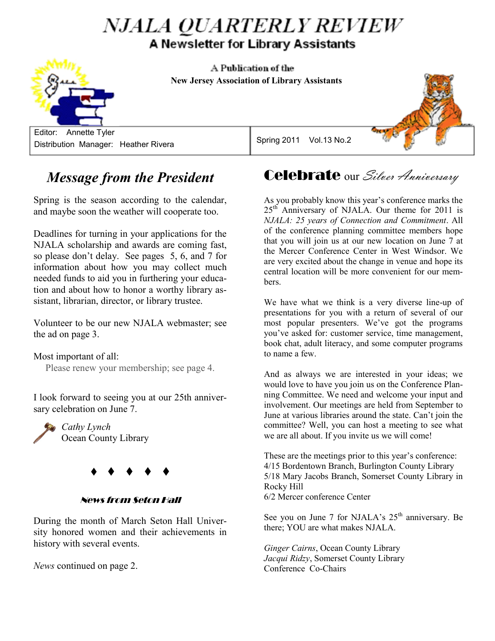# *NJALA QUARTERLY REVIEW* A Newsletter for Library Assistants

A Publication of the  **NEW JERSEY ASSOCIATION OF LIBRARY ASSISTANTS New Jersey Association of Library Assistants**

 Editor: Annette Tyler Distribution Manager: Heather Rivera

### Spring 2011 Vol.13 No.2

# *Message from the President*

Spring is the season according to the calendar, and maybe soon the weather will cooperate too.

Deadlines for turning in your applications for the NJALA scholarship and awards are coming fast, so please don't delay. See pages 5, 6, and 7 for information about how you may collect much needed funds to aid you in furthering your education and about how to honor a worthy library assistant, librarian, director, or library trustee.

Volunteer to be our new NJALA webmaster; see the ad on page 3.

#### Most important of all:

Please renew your membership; see page 4.

I look forward to seeing you at our 25th anniversary celebration on June 7.

*Cathy Lynch* Ocean County Library



#### News from Seton Hall

During the month of March Seton Hall University honored women and their achievements in history with several events.

*News* continued on page 2.

Celebrate our Silver Anniversary

As you probably know this year's conference marks the  $25<sup>th</sup>$  Anniversary of NJALA. Our theme for 2011 is *NJALA: 25 years of Connection and Commitment*. All of the conference planning committee members hope that you will join us at our new location on June 7 at the Mercer Conference Center in West Windsor. We are very excited about the change in venue and hope its central location will be more convenient for our members.

We have what we think is a very diverse line-up of presentations for you with a return of several of our most popular presenters. We've got the programs you've asked for: customer service, time management, book chat, adult literacy, and some computer programs to name a few.

And as always we are interested in your ideas; we would love to have you join us on the Conference Planning Committee. We need and welcome your input and involvement. Our meetings are held from September to June at various libraries around the state. Can't join the committee? Well, you can host a meeting to see what we are all about. If you invite us we will come!

These are the meetings prior to this year's conference: 4/15 Bordentown Branch, Burlington County Library 5/18 Mary Jacobs Branch, Somerset County Library in Rocky Hill 6/2 Mercer conference Center

See you on June 7 for NJALA's  $25<sup>th</sup>$  anniversary. Be there; YOU are what makes NJALA.

*Ginger Cairns*, Ocean County Library *Jacqui Ridzy*, Somerset County Library Conference Co-Chairs



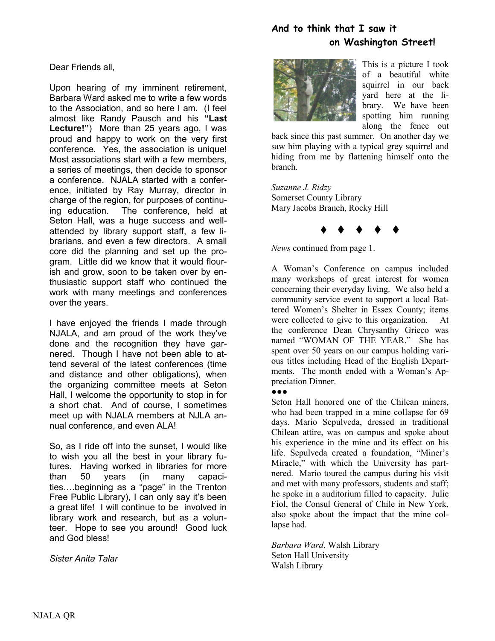## **And to think that I saw it on Washington Street!**

Dear Friends all,

Upon hearing of my imminent retirement, Barbara Ward asked me to write a few words to the Association, and so here I am. (I feel almost like Randy Pausch and his **"Last Lecture!"**) More than 25 years ago, I was proud and happy to work on the very first conference. Yes, the association is unique! Most associations start with a few members, a series of meetings, then decide to sponsor a conference. NJALA started with a conference, initiated by Ray Murray, director in charge of the region, for purposes of continuing education. The conference, held at Seton Hall, was a huge success and wellattended by library support staff, a few librarians, and even a few directors. A small core did the planning and set up the program. Little did we know that it would flourish and grow, soon to be taken over by enthusiastic support staff who continued the work with many meetings and conferences over the years.

I have enjoyed the friends I made through NJALA, and am proud of the work they've done and the recognition they have garnered. Though I have not been able to attend several of the latest conferences (time and distance and other obligations), when the organizing committee meets at Seton Hall, I welcome the opportunity to stop in for a short chat. And of course, I sometimes meet up with NJALA members at NJLA annual conference, and even ALA!

So, as I ride off into the sunset, I would like to wish you all the best in your library futures. Having worked in libraries for more than 50 years (in many capacities….beginning as a "page" in the Trenton Free Public Library), I can only say it's been a great life! I will continue to be involved in library work and research, but as a volunteer. Hope to see you around! Good luck and God bless!

*Sister Anita Talar*



This is a picture I took of a beautiful white squirrel in our back yard here at the library. We have been spotting him running along the fence out

back since this past summer. On another day we saw him playing with a typical grey squirrel and hiding from me by flattening himself onto the branch.

*Suzanne J. Ridzy* Somerset County Library Mary Jacobs Branch, Rocky Hill

 $\begin{array}{ccccccccccccccccc} \bullet & \bullet & \bullet & \bullet & \bullet & \bullet & \bullet \end{array}$ 

*News* continued from page 1.

A Woman's Conference on campus included many workshops of great interest for women concerning their everyday living. We also held a community service event to support a local Battered Women's Shelter in Essex County; items were collected to give to this organization. At the conference Dean Chrysanthy Grieco was named "WOMAN OF THE YEAR." She has spent over 50 years on our campus holding various titles including Head of the English Departments. The month ended with a Woman's Appreciation Dinner.

●●●

Seton Hall honored one of the Chilean miners, who had been trapped in a mine collapse for 69 days. Mario Sepulveda, dressed in traditional Chilean attire, was on campus and spoke about his experience in the mine and its effect on his life. Sepulveda created a foundation, "Miner's Miracle," with which the University has partnered. Mario toured the campus during his visit and met with many professors, students and staff; he spoke in a auditorium filled to capacity. Julie Fiol, the Consul General of Chile in New York, also spoke about the impact that the mine collapse had.

*Barbara Ward*, Walsh Library Seton Hall University Walsh Library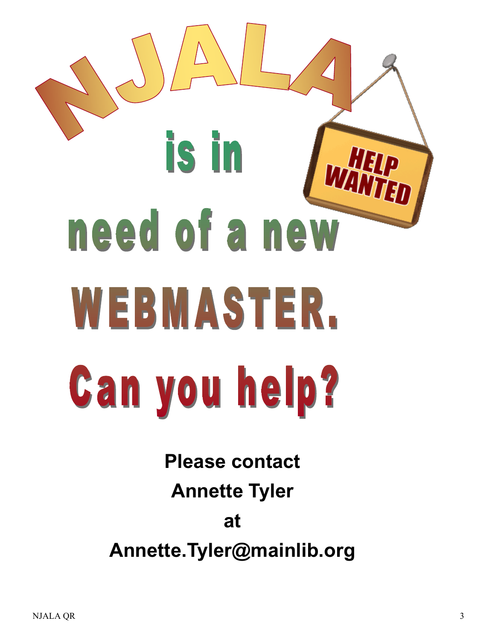# **is in** need of a new WEBMASTER. **Can you help?**

**Please contact Annette Tyler at Annette.Tyler@mainlib.org**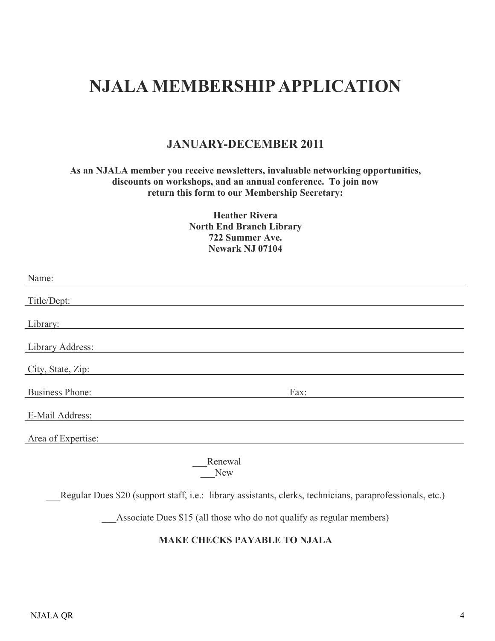# **NJALA MEMBERSHIP APPLICATION**

## **JANUARY-DECEMBER 2011**

#### **As an NJALA member you receive newsletters, invaluable networking opportunities, discounts on workshops, and an annual conference. To join now return this form to our Membership Secretary:**

**Heather Rivera North End Branch Library 722 Summer Ave. Newark NJ 07104**

| Name:                                                                                                     |
|-----------------------------------------------------------------------------------------------------------|
| Title/Dept:                                                                                               |
| Library:                                                                                                  |
| Library Address:                                                                                          |
| City, State, Zip:                                                                                         |
| <b>Business Phone:</b><br>Fax:                                                                            |
| E-Mail Address:                                                                                           |
| Area of Expertise:                                                                                        |
| Renewal<br><b>New</b>                                                                                     |
| Regular Dues \$20 (support staff, i.e.: library assistants, clerks, technicians, paraprofessionals, etc.) |
| Associate Dues \$15 (all those who do not qualify as regular members)                                     |
| <b>MAKE CHECKS PAYABLE TO NJALA</b>                                                                       |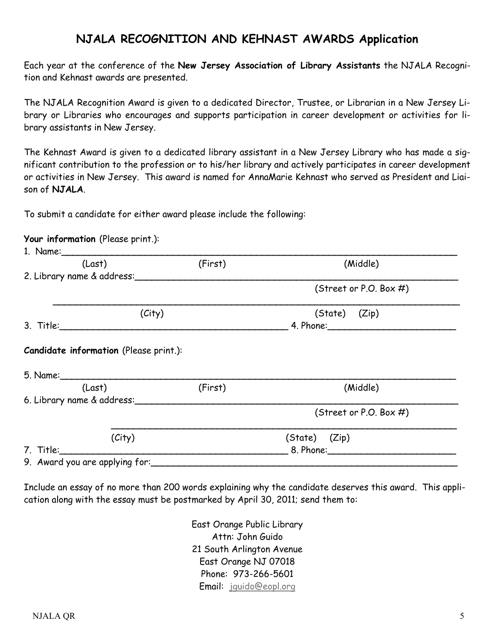## **NJALA RECOGNITION AND KEHNAST AWARDS Application**

Each year at the conference of the **New Jersey Association of Library Assistants** the NJALA Recognition and Kehnast awards are presented.

The NJALA Recognition Award is given to a dedicated Director, Trustee, or Librarian in a New Jersey Library or Libraries who encourages and supports participation in career development or activities for library assistants in New Jersey.

The Kehnast Award is given to a dedicated library assistant in a New Jersey Library who has made a significant contribution to the profession or to his/her library and actively participates in career development or activities in New Jersey. This award is named for AnnaMarie Kehnast who served as President and Liaison of **NJALA**.

To submit a candidate for either award please include the following:

#### **Your information** (Please print.):

| (Last)                     | (First) | (Middle)                  |  |
|----------------------------|---------|---------------------------|--|
| 2. Library name & address: |         |                           |  |
|                            |         | (Street or P.O. Box $#$ ) |  |
| (City)                     |         | $(State)$ $(Zip)$         |  |
|                            |         |                           |  |
|                            |         |                           |  |
|                            |         |                           |  |
| (Last)                     | (First) | (Middle)                  |  |
| 6. Library name & address: |         | (Street or P.O. Box $#$ ) |  |
| (City)                     |         | (State) (Zip)             |  |
|                            |         |                           |  |

Include an essay of no more than 200 words explaining why the candidate deserves this award. This application along with the essay must be postmarked by April 30, 2011; send them to:

> East Orange Public Library Attn: John Guido 21 South Arlington Avenue East Orange NJ 07018 Phone: 973-266-5601 Email: [jguido@eopl.org](mailto:jguido@eopl.org)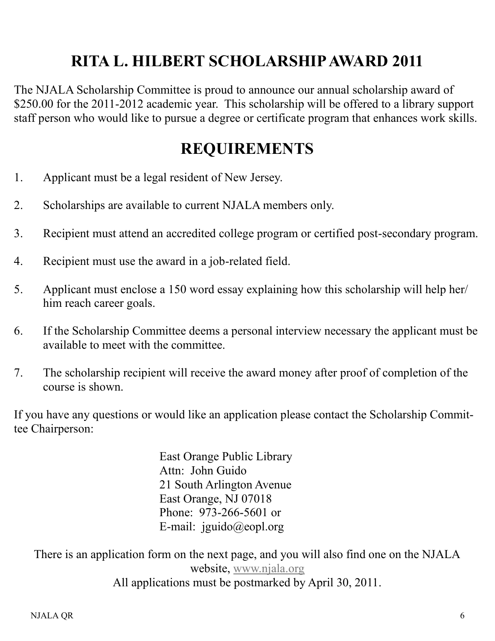# **RITA L. HILBERT SCHOLARSHIP AWARD 2011**

The NJALA Scholarship Committee is proud to announce our annual scholarship award of \$250.00 for the 2011-2012 academic year. This scholarship will be offered to a library support staff person who would like to pursue a degree or certificate program that enhances work skills.

# **REQUIREMENTS**

- 1. Applicant must be a legal resident of New Jersey.
- 2. Scholarships are available to current NJALA members only.
- 3. Recipient must attend an accredited college program or certified post-secondary program.
- 4. Recipient must use the award in a job-related field.
- 5. Applicant must enclose a 150 word essay explaining how this scholarship will help her/ him reach career goals.
- 6. If the Scholarship Committee deems a personal interview necessary the applicant must be available to meet with the committee.
- 7. The scholarship recipient will receive the award money after proof of completion of the course is shown.

If you have any questions or would like an application please contact the Scholarship Committee Chairperson:

> East Orange Public Library Attn: John Guido 21 South Arlington Avenue East Orange, NJ 07018 Phone: 973-266-5601 or E-mail: jguido@eopl.org

There is an application form on the next page, and you will also find one on the NJALA website, [www.njala.org](http://www.njala.org) All applications must be postmarked by April 30, 2011.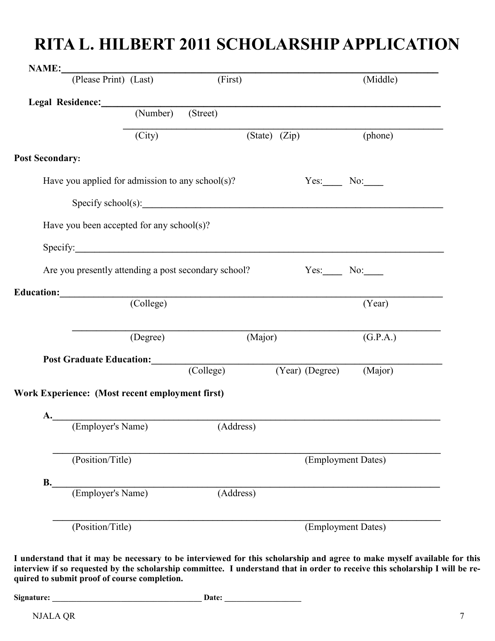# **RITA L. HILBERT 2011 SCHOLARSHIP APPLICATION**

| <b>NAME:</b> (Please Print) (Last)                   |          | (First)   |                                                                                                                                                                                                                                    | (Middle)           |
|------------------------------------------------------|----------|-----------|------------------------------------------------------------------------------------------------------------------------------------------------------------------------------------------------------------------------------------|--------------------|
|                                                      |          |           |                                                                                                                                                                                                                                    |                    |
| Legal Residence: (Number) (Street)                   |          |           |                                                                                                                                                                                                                                    |                    |
|                                                      | (City)   |           | (State) (Zip) (phone)                                                                                                                                                                                                              |                    |
| <b>Post Secondary:</b>                               |          |           |                                                                                                                                                                                                                                    |                    |
| Have you applied for admission to any school(s)?     |          |           |                                                                                                                                                                                                                                    | $Yes.$ No: $\_\_$  |
|                                                      |          |           | Specify school(s): <u>contained</u> and the set of the set of the set of the set of the set of the set of the set of the set of the set of the set of the set of the set of the set of the set of the set of the set of the set of |                    |
| Have you been accepted for any school(s)?            |          |           |                                                                                                                                                                                                                                    |                    |
| Specify:                                             |          |           |                                                                                                                                                                                                                                    |                    |
| Are you presently attending a post secondary school? |          |           |                                                                                                                                                                                                                                    | $Yes.$ No: $\_\_$  |
|                                                      |          |           |                                                                                                                                                                                                                                    |                    |
| Education: (College)                                 |          |           |                                                                                                                                                                                                                                    | (Year)             |
|                                                      |          |           |                                                                                                                                                                                                                                    |                    |
|                                                      |          |           |                                                                                                                                                                                                                                    |                    |
|                                                      | (Degree) |           | (Major)                                                                                                                                                                                                                            | (G.P.A.)           |
|                                                      |          |           |                                                                                                                                                                                                                                    |                    |
| Post Graduate Education: (College)                   |          |           | (Year) (Degree) (Major)                                                                                                                                                                                                            |                    |
| Work Experience: (Most recent employment first)      |          |           |                                                                                                                                                                                                                                    |                    |
|                                                      |          |           |                                                                                                                                                                                                                                    |                    |
| A. (Employer's Name) (Address)                       |          |           |                                                                                                                                                                                                                                    |                    |
| (Position/Title)                                     |          |           |                                                                                                                                                                                                                                    | (Employment Dates) |
|                                                      |          |           |                                                                                                                                                                                                                                    |                    |
| <b>B.</b><br>(Employer's Name)                       |          | (Address) |                                                                                                                                                                                                                                    |                    |
| (Position/Title)                                     |          |           |                                                                                                                                                                                                                                    | (Employment Dates) |

**I understand that it may be necessary to be interviewed for this scholarship and agree to make myself available for this interview if so requested by the scholarship committee. I understand that in order to receive this scholarship I will be required to submit proof of course completion.**

NJALA QR 7